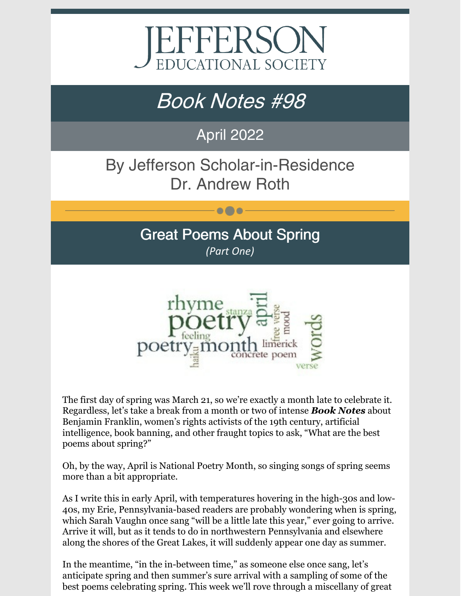

# Book Notes #98

# April 2022

# By Jefferson Scholar-in-Residence Dr. Andrew Roth

### Great Poems About Spring *(Part One)*

 $\bullet\bullet\bullet$ 



The first day of spring was March 21, so we're exactly a month late to celebrate it. Regardless, let's take a break from a month or two of intense *Book Notes* about Benjamin Franklin, women's rights activists of the 19th century, artificial intelligence, book banning, and other fraught topics to ask, "What are the best poems about spring?"

Oh, by the way, April is National Poetry Month, so singing songs of spring seems more than a bit appropriate.

As I write this in early April, with temperatures hovering in the high-30s and low-40s, my Erie, Pennsylvania-based readers are probably wondering when is spring, which Sarah Vaughn once sang "will be a little late this year," ever going to arrive. Arrive it will, but as it tends to do in northwestern Pennsylvania and elsewhere along the shores of the Great Lakes, it will suddenly appear one day as summer.

In the meantime, "in the in-between time," as someone else once sang, let's anticipate spring and then summer's sure arrival with a sampling of some of the best poems celebrating spring. This week we'll rove through a miscellany of great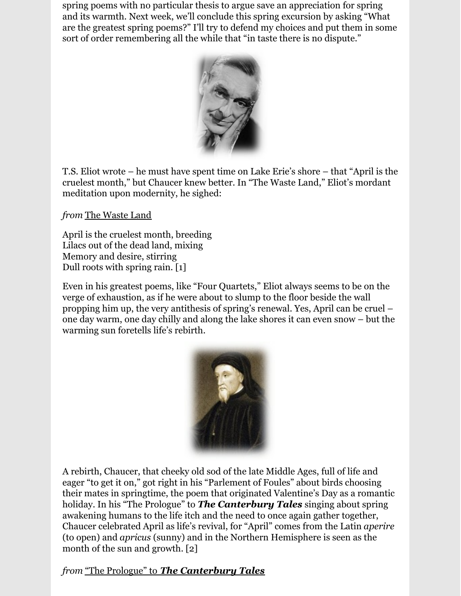spring poems with no particular thesis to argue save an appreciation for spring and its warmth. Next week, we'll conclude this spring excursion by asking "What are the greatest spring poems?" I'll try to defend my choices and put them in some sort of order remembering all the while that "in taste there is no dispute."



T.S. Eliot wrote – he must have spent time on Lake Erie's shore – that "April is the cruelest month," but Chaucer knew better. In "The Waste Land," Eliot's mordant meditation upon modernity, he sighed:

*from* The Waste Land

April is the cruelest month, breeding Lilacs out of the dead land, mixing Memory and desire, stirring Dull roots with spring rain. [1]

Even in his greatest poems, like "Four Quartets," Eliot always seems to be on the verge of exhaustion, as if he were about to slump to the floor beside the wall propping him up, the very antithesis of spring's renewal. Yes, April can be cruel – one day warm, one day chilly and along the lake shores it can even snow – but the warming sun foretells life's rebirth.



A rebirth, Chaucer, that cheeky old sod of the late Middle Ages, full of life and eager "to get it on," got right in his "Parlement of Foules" about birds choosing their mates in springtime, the poem that originated Valentine's Day as a romantic holiday. In his "The Prologue" to *The Canterbury Tales* singing about spring awakening humans to the life itch and the need to once again gather together, Chaucer celebrated April as life's revival, for "April" comes from the Latin *aperire* (to open) and *apricus* (sunny) and in the Northern Hemisphere is seen as the month of the sun and growth. [2]

*from* "The Prologue" to *The Canterbury Tales*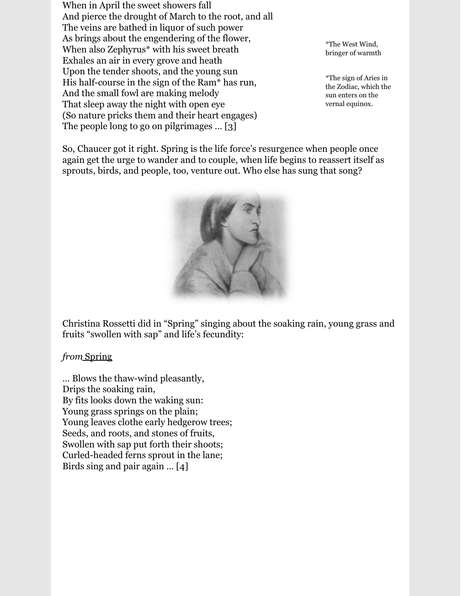When in April the sweet showers fall And pierce the drought of March to the root, and all The veins are bathed in liquor of such power As brings about the engendering of the flower, When also Zephyrus\* with his sweet breath Exhales an air in every grove and heath Upon the tender shoots, and the young sun His half-course in the sign of the Ram\* has run, And the small fowl are making melody That sleep away the night with open eye (So nature pricks them and their heart engages) The people long to go on pilgrimages … [3]

\*The West Wind, bringer of warmth

\*The sign of Aries in the Zodiac, which the sun enters on the vernal equinox.

So, Chaucer got it right. Spring is the life force's resurgence when people once again get the urge to wander and to couple, when life begins to reassert itself as sprouts, birds, and people, too, venture out. Who else has sung that song?



Christina Rossetti did in "Spring" singing about the soaking rain, young grass and fruits "swollen with sap" and life's fecundity:

#### *from* Spring

… Blows the thaw-wind pleasantly, Drips the soaking rain, By fits looks down the waking sun: Young grass springs on the plain; Young leaves clothe early hedgerow trees; Seeds, and roots, and stones of fruits, Swollen with sap put forth their shoots; Curled-headed ferns sprout in the lane; Birds sing and pair again … [4]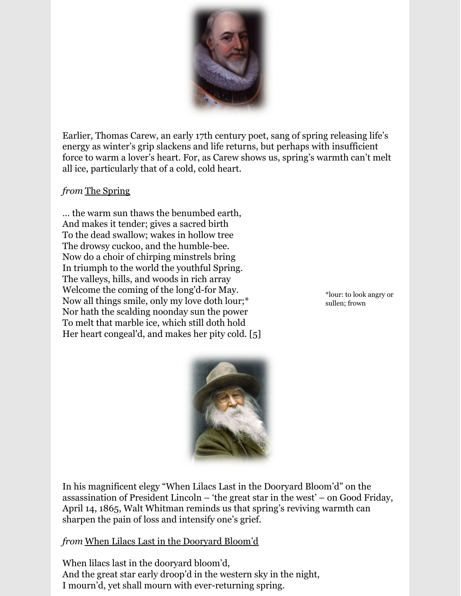

Earlier, Thomas Carew, an early 17th century poet, sang of spring releasing life's energy as winter's grip slackens and life returns, but perhaps with insufficient force to warm a lover's heart. For, as Carew shows us, spring's warmth can't melt all ice, particularly that of a cold, cold heart.

#### *from* The Spring

… the warm sun thaws the benumbed earth, And makes it tender; gives a sacred birth To the dead swallow; wakes in hollow tree The drowsy cuckoo, and the humble-bee. Now do a choir of chirping minstrels bring In triumph to the world the youthful Spring. The valleys, hills, and woods in rich array Welcome the coming of the long'd-for May. Now all things smile, only my love doth lour;\* Nor hath the scalding noonday sun the power To melt that marble ice, which still doth hold Her heart congeal'd, and makes her pity cold. [5]

\*lour: to look angry or sullen; frown



In his magnificent elegy "When Lilacs Last in the Dooryard Bloom'd" on the assassination of President Lincoln – 'the great star in the west' – on Good Friday, April 14, 1865, Walt Whitman reminds us that spring's reviving warmth can sharpen the pain of loss and intensify one's grief.

*from* When Lilacs Last in the Dooryard Bloom'd

When lilacs last in the dooryard bloom'd, And the great star early droop'd in the western sky in the night, I mourn'd, yet shall mourn with ever-returning spring.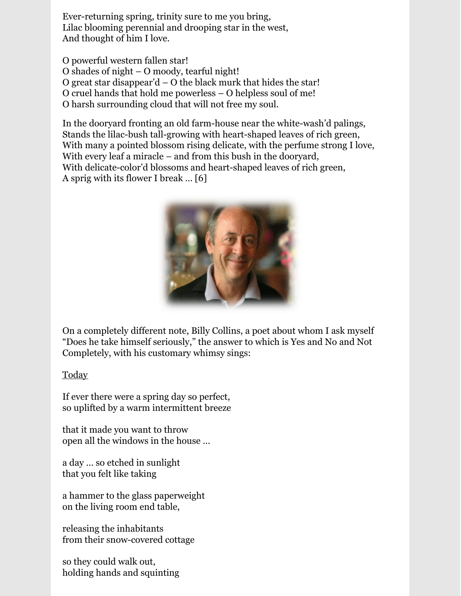Ever-returning spring, trinity sure to me you bring, Lilac blooming perennial and drooping star in the west, And thought of him I love.

O powerful western fallen star! O shades of night – O moody, tearful night! O great star disappear'd – O the black murk that hides the star! O cruel hands that hold me powerless – O helpless soul of me! O harsh surrounding cloud that will not free my soul.

In the dooryard fronting an old farm-house near the white-wash'd palings, Stands the lilac-bush tall-growing with heart-shaped leaves of rich green, With many a pointed blossom rising delicate, with the perfume strong I love, With every leaf a miracle – and from this bush in the dooryard, With delicate-color'd blossoms and heart-shaped leaves of rich green, A sprig with its flower I break … [6]



On a completely different note, Billy Collins, a poet about whom I ask myself "Does he take himself seriously," the answer to which is Yes and No and Not Completely, with his customary whimsy sings:

#### **Today**

If ever there were a spring day so perfect, so uplifted by a warm intermittent breeze

that it made you want to throw open all the windows in the house …

a day … so etched in sunlight that you felt like taking

a hammer to the glass paperweight on the living room end table,

releasing the inhabitants from their snow-covered cottage

so they could walk out, holding hands and squinting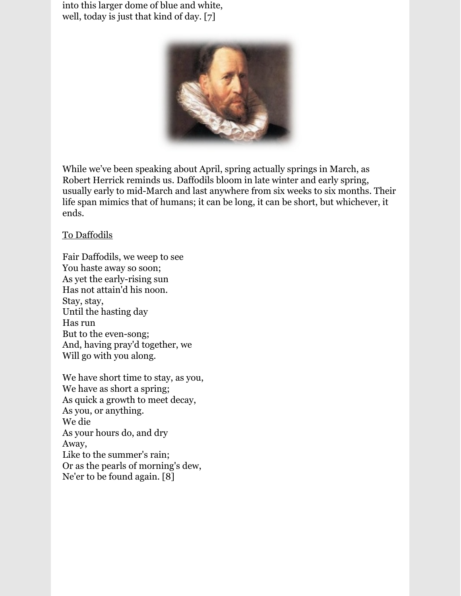into this larger dome of blue and white, well, today is just that kind of day. [7]



While we've been speaking about April, spring actually springs in March, as Robert Herrick reminds us. Daffodils bloom in late winter and early spring, usually early to mid-March and last anywhere from six weeks to six months. Their life span mimics that of humans; it can be long, it can be short, but whichever, it ends.

#### To Daffodils

Fair Daffodils, we weep to see You haste away so soon; As yet the early-rising sun Has not attain'd his noon. Stay, stay, Until the hasting day Has run But to the even-song; And, having pray'd together, we Will go with you along.

We have short time to stay, as you, We have as short a spring; As quick a growth to meet decay, As you, or anything. We die As your hours do, and dry Away, Like to the summer's rain; Or as the pearls of morning's dew, Ne'er to be found again. [8]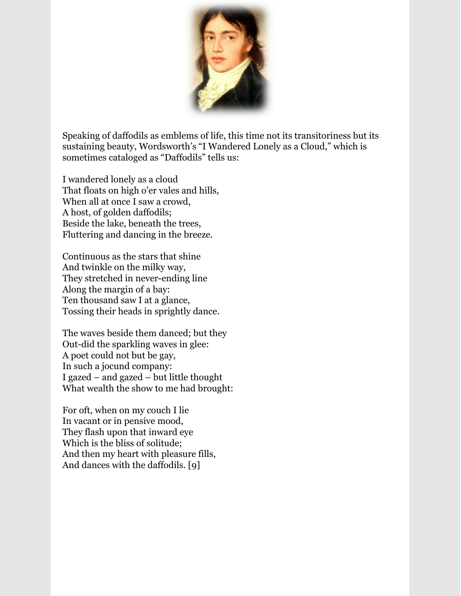

Speaking of daffodils as emblems of life, this time not its transitoriness but its sustaining beauty, Wordsworth's "I Wandered Lonely as a Cloud," which is sometimes cataloged as "Daffodils" tells us:

I wandered lonely as a cloud That floats on high o'er vales and hills, When all at once I saw a crowd, A host, of golden daffodils; Beside the lake, beneath the trees, Fluttering and dancing in the breeze.

Continuous as the stars that shine And twinkle on the milky way, They stretched in never-ending line Along the margin of a bay: Ten thousand saw I at a glance, Tossing their heads in sprightly dance.

The waves beside them danced; but they Out-did the sparkling waves in glee: A poet could not but be gay, In such a jocund company: I gazed – and gazed – but little thought What wealth the show to me had brought:

For oft, when on my couch I lie In vacant or in pensive mood, They flash upon that inward eye Which is the bliss of solitude; And then my heart with pleasure fills, And dances with the daffodils. [9]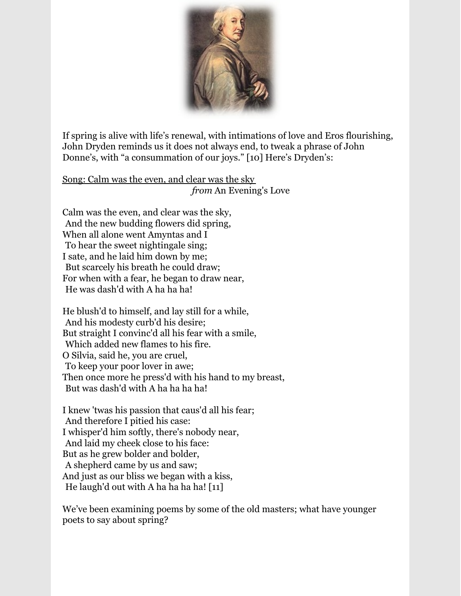

If spring is alive with life's renewal, with intimations of love and Eros flourishing, John Dryden reminds us it does not always end, to tweak a phrase of John Donne's, with "a consummation of our joys." [10] Here's Dryden's:

Song: Calm was the even, and clear was the sky from An Evening's Love

Calm was the even, and clear was the sky, And the new budding flowers did spring, When all alone went Amyntas and I To hear the sweet nightingale sing; I sate, and he laid him down by me; But scarcely his breath he could draw; For when with a fear, he began to draw near, He was dash'd with A ha ha ha!

He blush'd to himself, and lay still for a while, And his modesty curb'd his desire; But straight I convinc'd all his fear with a smile, lWhich added new flames to his fire. O Silvia, said he, you are cruel, To keep your poor lover in awe; Then once more he press'd with his hand to my breast, But was dash'd with A ha ha ha ha!

I knew 'twas his passion that caus'd all his fear; And therefore I pitied his case: I whisper'd him softly, there's nobody near, And laid my cheek close to his face: But as he grew bolder and bolder, lA shepherd came by us and saw; And just as our bliss we began with a kiss, He laugh'd out with A ha ha ha ha!  $[11]$ 

We've been examining poems by some of the old masters; what have younger poets to say about spring?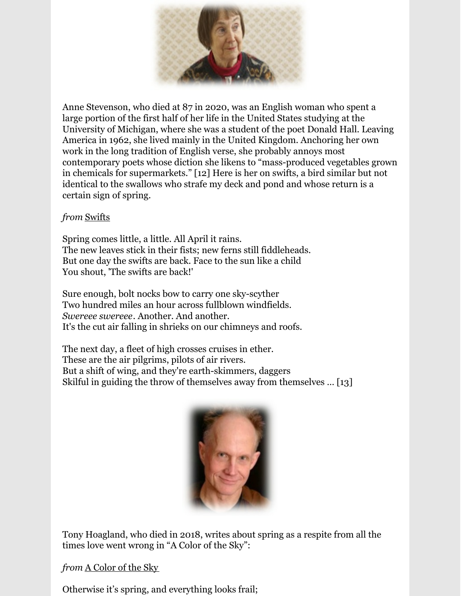

Anne Stevenson, who died at 87 in 2020, was an English woman who spent a large portion of the first half of her life in the United States studying at the University of Michigan, where she was a student of the poet Donald Hall. Leaving America in 1962, she lived mainly in the United Kingdom. Anchoring her own work in the long tradition of English verse, she probably annoys most contemporary poets whose diction she likens to "mass-produced vegetables grown in chemicals for supermarkets." [12] Here is her on swifts, a bird similar but not identical to the swallows who strafe my deck and pond and whose return is a certain sign of spring.

#### *from* Swifts

Spring comes little, a little. All April it rains. The new leaves stick in their fists; new ferns still fiddleheads. But one day the swifts are back. Face to the sun like a child You shout, 'The swifts are back!'

Sure enough, bolt nocks bow to carry one sky-scyther Two hundred miles an hour across fullblown windfields. *Swereee swereee*. Another. And another. It's the cut air falling in shrieks on our chimneys and roofs.

The next day, a fleet of high crosses cruises in ether. These are the air pilgrims, pilots of air rivers. But a shift of wing, and they're earth-skimmers, daggers Skilful in guiding the throw of themselves away from themselves … [13]



Tony Hoagland, who died in 2018, writes about spring as a respite from all the times love went wrong in "A Color of the Sky":

*from* A Color of the Sky

Otherwise it's spring, and everything looks frail;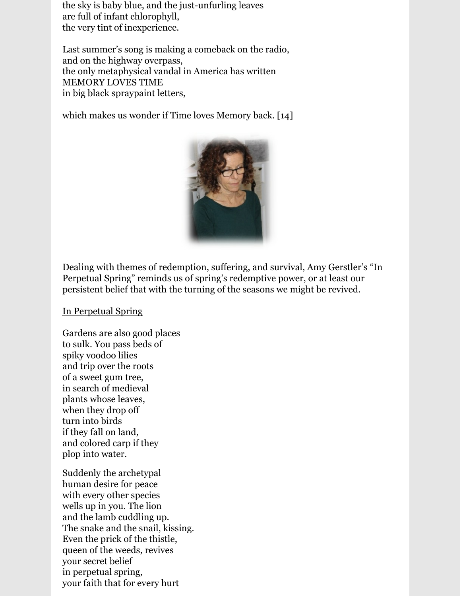the sky is baby blue, and the just-unfurling leaves are full of infant chlorophyll, the very tint of inexperience.

Last summer's song is making a comeback on the radio, and on the highway overpass, the only metaphysical vandal in America has written MEMORY LOVES TIME in big black spraypaint letters,

which makes us wonder if Time loves Memory back. [14]



Dealing with themes of redemption, suffering, and survival, Amy Gerstler's "In Perpetual Spring" reminds us of spring's redemptive power, or at least our persistent belief that with the turning of the seasons we might be revived.

In Perpetual Spring

Gardens are also good places to sulk. You pass beds of spiky voodoo lilies and trip over the roots of a sweet gum tree, in search of medieval plants whose leaves, when they drop off turn into birds if they fall on land, and colored carp if they plop into water.

Suddenly the archetypal human desire for peace with every other species wells up in you. The lion and the lamb cuddling up. The snake and the snail, kissing. Even the prick of the thistle, queen of the weeds, revives your secret belief in perpetual spring, your faith that for every hurt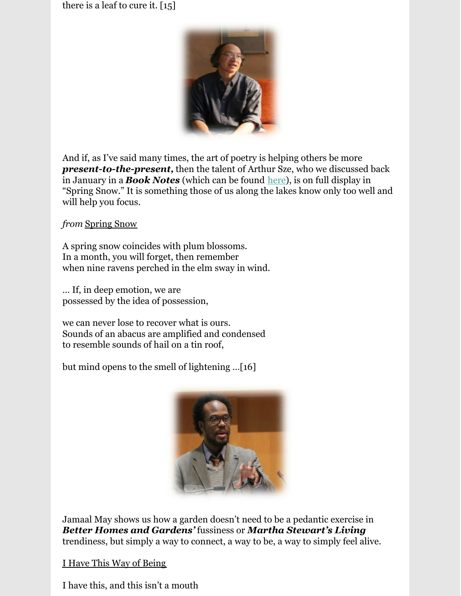there is a leaf to cure it. [15]



And if, as I've said many times, the art of poetry is helping others be more *present-to-the-present,* then the talent of Arthur Sze, who we discussed back in January in a *Book Notes* (which can be found <u>[here](https://www.jeserie.org/uploads/Great Timely Reads/Roth Book Notes 86.pdf)</u>), is on full display in "Spring Snow." It is something those of us along the lakes know only too well and will help you focus.

*from* Spring Snow

A spring snow coincides with plum blossoms. In a month, you will forget, then remember when nine ravens perched in the elm sway in wind.

… If, in deep emotion, we are possessed by the idea of possession,

we can never lose to recover what is ours. Sounds of an abacus are amplified and condensed to resemble sounds of hail on a tin roof,

but mind opens to the smell of lightening …[16]



Jamaal May shows us how a garden doesn't need to be a pedantic exercise in *Better Homes and Gardens'* fussiness or *Martha Stewart's Living* trendiness, but simply a way to connect, a way to be, a way to simply feel alive.

I Have This Way of Being

I have this, and this isn't a mouth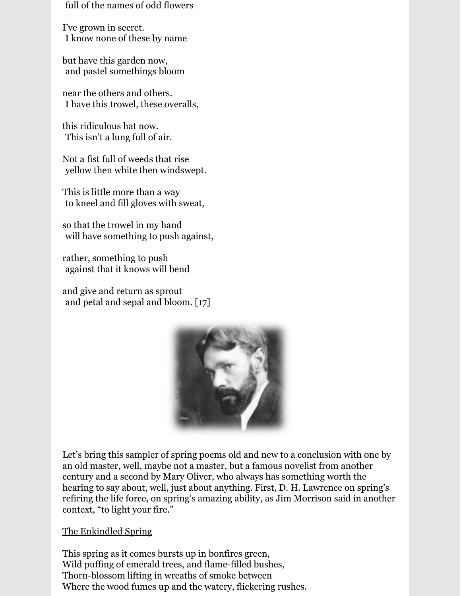full of the names of odd flowers

I've grown in secret. lI know none of these by name

but have this garden now, and pastel somethings bloom

near the others and others. lI have this trowel, these overalls,

this ridiculous hat now. This isn't a lung full of air.

Not a fist full of weeds that rise vellow then white then windswept.

This is little more than a way to kneel and fill gloves with sweat,

so that the trowel in my hand will have something to push against,

rather, something to push against that it knows will bend

and give and return as sprout and petal and sepal and bloom.  $[17]$ 



Let's bring this sampler of spring poems old and new to a conclusion with one by an old master, well, maybe not a master, but a famous novelist from another century and a second by Mary Oliver, who always has something worth the hearing to say about, well, just about anything. First, D. H. Lawrence on spring's refiring the life force, on spring's amazing ability, as Jim Morrison said in another context, "to light your fire."

#### The Enkindled Spring

This spring as it comes bursts up in bonfires green, Wild puffing of emerald trees, and flame-filled bushes, Thorn-blossom lifting in wreaths of smoke between Where the wood fumes up and the watery, flickering rushes.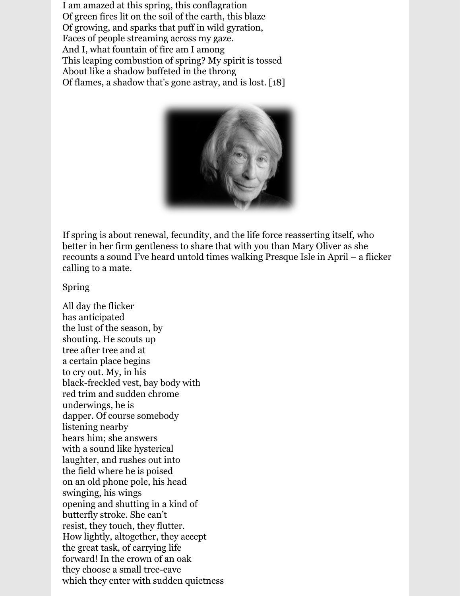I am amazed at this spring, this conflagration Of green fires lit on the soil of the earth, this blaze Of growing, and sparks that puff in wild gyration, Faces of people streaming across my gaze. And I, what fountain of fire am I among This leaping combustion of spring? My spirit is tossed About like a shadow buffeted in the throng Of flames, a shadow that's gone astray, and is lost. [18]



If spring is about renewal, fecundity, and the life force reasserting itself, who better in her firm gentleness to share that with you than Mary Oliver as she recounts a sound I've heard untold times walking Presque Isle in April – a flicker calling to a mate.

#### Spring

All day the flicker has anticipated the lust of the season, by shouting. He scouts up tree after tree and at a certain place begins to cry out. My, in his black-freckled vest, bay body with red trim and sudden chrome underwings, he is dapper. Of course somebody listening nearby hears him; she answers with a sound like hysterical laughter, and rushes out into the field where he is poised on an old phone pole, his head swinging, his wings opening and shutting in a kind of butterfly stroke. She can't resist, they touch, they flutter. How lightly, altogether, they accept the great task, of carrying life forward! In the crown of an oak they choose a small tree-cave which they enter with sudden quietness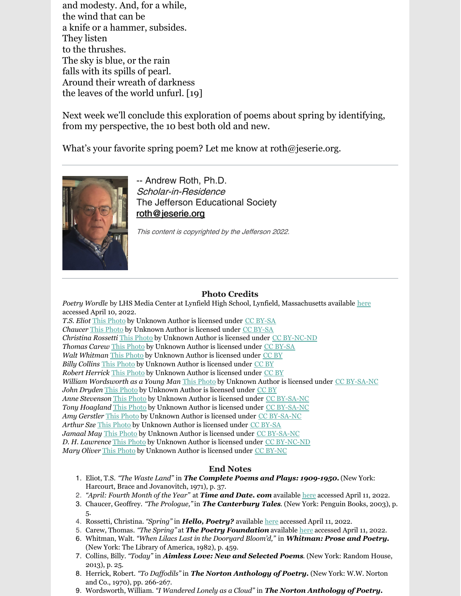and modesty. And, for a while, the wind that can be a knife or a hammer, subsides. They listen to the thrushes. The sky is blue, or the rain falls with its spills of pearl. Around their wreath of darkness the leaves of the world unfurl. [19]

Next week we'll conclude this exploration of poems about spring by identifying, from my perspective, the 10 best both old and new.

What's your favorite spring poem? Let me know at roth@jeserie.org.



-- Andrew Roth, Ph.D. Scholar-in-Residence The Jefferson Educational Society [roth@jeserie.org](mailto:roth@jeserie.org)

This content is copyrighted by the Jefferson 2022.

#### **Photo Credits**

*Poetry Wordle* by LHS Media Center at Lynfield High School, Lynfield, Massachusetts available [here](https://lhsmediacenter.wordpress.com/welcome-2/spring-poetry-wordle/) accessed April 10, 2022.

*T.S. Eliot* This [Photo](https://en.wikipedia.org/wiki/High_culture) by Unknown Author is licensed under CC [BY-SA](https://creativecommons.org/licenses/by-sa/3.0/) *Chaucer* This [Photo](http://dreamantilles.blogspot.com/2011_04_01_archive.html) by Unknown Author is licensed under CC [BY-SA](https://creativecommons.org/licenses/by-sa/3.0/) *Christina Rossetti* This [Photo](https://desibilasypitias.blogspot.com/2018/05/christina-rossetti-cuando-muera-mi.html) by Unknown Author is licensed under CC [BY-NC-ND](https://creativecommons.org/licenses/by-nc-nd/3.0/) *Thomas Carew* This [Photo](https://fr.wikipedia.org/wiki/George_Carew_(1er_comte_de_Totnes)) by Unknown Author is licensed under CC [BY-SA](https://creativecommons.org/licenses/by-sa/3.0/) *Walt Whitman* This [Photo](http://www.truthinsideofyou.org/these-40-colorized-photos-from-the-past-will-blow-you-away/) by Unknown Author is licensed under [CC](https://creativecommons.org/licenses/by/3.0/) BY *Billy Collins* This [Photo](http://jackbrummet.blogspot.com/2011/09/trouble-with-poetry-billy-collins-poem.html) by Unknown Author is licensed under [CC](https://creativecommons.org/licenses/by/3.0/) BY *Robert Herrick* This [Photo](http://rbhardy3rd.blogspot.co.uk/2008_12_01_archive.html) by Unknown Author is licensed under [CC](https://creativecommons.org/licenses/by/3.0/) BY *William Wordsworth as a Young Man* This [Photo](http://poetryandpoetsinrags.blogspot.com/2012/01/news-at-eleven-frost-at-midnight-was.html) by Unknown Author is licensed under CC [BY-SA-NC](https://creativecommons.org/licenses/by-nc-sa/3.0/) *John Dryden* This [Photo](http://bibliophemera.blogspot.com/2009_04_01_archive.html) by Unknown Author is licensed under [CC](https://creativecommons.org/licenses/by/3.0/) BY *Anne Stevenson* This [Photo](http://poetryandpoetsinrags.blogspot.com/2007_12_01_archive.html) by Unknown Author is licensed under CC [BY-SA-NC](https://creativecommons.org/licenses/by-nc-sa/3.0/) *Tony Hoagland* This [Photo](https://poetryandpoetsinrags.blogspot.com/2013/02/great-regulars-by-tony-hoagland.html) by Unknown Author is licensed under CC [BY-SA-NC](https://creativecommons.org/licenses/by-nc-sa/3.0/) *Amy Gerstler* This [Photo](http://www.ctrl-shift.org/interviews/gerstler.html) by Unknown Author is licensed under CC [BY-SA-NC](https://creativecommons.org/licenses/by-nc-sa/3.0/) *Arthur Sze* This [Photo](https://arz.wikipedia.org/wiki/%D8%A7%D8%B1%D8%AB%D8%B1_%D8%B3%D8%B2) by Unknown Author is licensed under CC [BY-SA](https://creativecommons.org/licenses/by-sa/3.0/) *Jamaal May* This [Photo](https://www.flickr.com/photos/lausatpsu/8389254007/) by Unknown Author is licensed under CC [BY-SA-NC](https://creativecommons.org/licenses/by-nc-sa/3.0/) *D. H. Lawrence* This [Photo](https://footlesscrow.blogspot.com/2011/08/dh-lawrence-and-count-house.html) by Unknown Author is licensed under CC [BY-NC-ND](https://creativecommons.org/licenses/by-nc-nd/3.0/) *Mary Oliver* This [Photo](https://www.laprimerapiedra.com.ar/2017/11/mary-oliver-instrucciones-vivir-una-vida/) by Unknown Author is licensed under CC [BY-NC](https://creativecommons.org/licenses/by-nc/3.0/)

#### **End Notes**

- 1. Eliot, T.S. *"The Waste Land"* in *The Complete Poems and Plays: 1909-1950.*(New York: Harcourt, Brace and Jovanovitch, 1971), p. 37.
- 2. *"April: Fourth Month of the Year"* at *Time and Date. com* available [here](https://www.google.com/search?q=april+meaning+and+symbolism&rlz=1C1CHBF_enUS890US890&oq=April+meanin&aqs=chrome.2.0i131i433i512j0i512l2j69i57j0i512l6.6227j0j15&sourceid=chrome&ie=UTF-8) accessed April 11, 2022.
- 3. Chaucer, Geoffrey. *"The Prologue,"*in *The Canterbury Tales*. (New York: Penguin Books, 2003), p. 5.
- 4. Rossetti, Christina. *"Spring"* in *Hello, Poetry?* available [here](https://hellopoetry.com/poem/16160/spring/) accessed April 11, 2022.
- 5. Carew, Thomas. *"The Spring"* at *The Poetry Foundation* available [here](https://www.poetryfoundation.org/poems/43881/the-spring-56d222c1918e0) accessed April 11, 2022.
- 6. Whitman, Walt. *"When Lilacs Last in the Dooryard Bloom'd,"* in *Whitman: Prose and Poetry.* (New York: The Library of America, 1982), p. 459.
- 7. Collins, Billy. *"Today"* in *Aimless Love: New and Selected Poems*. (New York: Random House, 2013), p. 25.
- 8. Herrick, Robert. *"To Daf odils"* in *The Norton Anthology of Poetry.* (New York: W.W. Norton and Co., 1970), pp. 266-267.
- 9. Wordsworth, William. *"I Wandered Lonely as a Cloud"* in *The Norton Anthology of Poetry.*